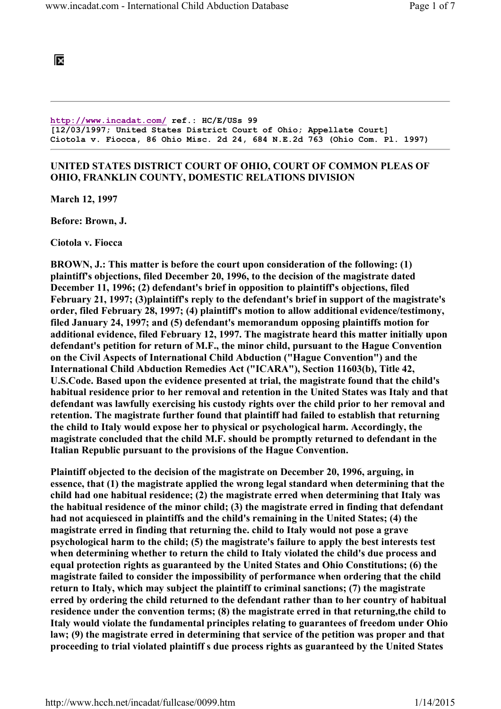## ĪХ

http://www.incadat.com/ ref.: HC/E/USs 99 [12/03/1997; United States District Court of Ohio; Appellate Court] Ciotola v. Fiocca, 86 Ohio Misc. 2d 24, 684 N.E.2d 763 (Ohio Com. Pl. 1997)

## UNITED STATES DISTRICT COURT OF OHIO, COURT OF COMMON PLEAS OF OHIO, FRANKLIN COUNTY, DOMESTIC RELATIONS DIVISION

March 12, 1997

Before: Brown, J.

Ciotola v. Fiocca

BROWN, J.: This matter is before the court upon consideration of the following: (1) plaintiff's objections, filed December 20, 1996, to the decision of the magistrate dated December 11, 1996; (2) defendant's brief in opposition to plaintiff's objections, filed February 21, 1997; (3)plaintiff's reply to the defendant's brief in support of the magistrate's order, filed February 28, 1997; (4) plaintiff's motion to allow additional evidence/testimony, filed January 24, 1997; and (5) defendant's memorandum opposing plaintiffs motion for additional evidence, filed February 12, 1997. The magistrate heard this matter initially upon defendant's petition for return of M.F., the minor child, pursuant to the Hague Convention on the Civil Aspects of International Child Abduction ("Hague Convention") and the International Child Abduction Remedies Act ("ICARA"), Section 11603(b), Title 42, U.S.Code. Based upon the evidence presented at trial, the magistrate found that the child's habitual residence prior to her removal and retention in the United States was Italy and that defendant was lawfully exercising his custody rights over the child prior to her removal and retention. The magistrate further found that plaintiff had failed to establish that returning the child to Italy would expose her to physical or psychological harm. Accordingly, the magistrate concluded that the child M.F. should be promptly returned to defendant in the Italian Republic pursuant to the provisions of the Hague Convention.

Plaintiff objected to the decision of the magistrate on December 20, 1996, arguing, in essence, that (1) the magistrate applied the wrong legal standard when determining that the child had one habitual residence; (2) the magistrate erred when determining that Italy was the habitual residence of the minor child; (3) the magistrate erred in finding that defendant had not acquiesced in plaintiffs and the child's remaining in the United States; (4) the magistrate erred in finding that returning the. child to Italy would not pose a grave psychological harm to the child; (5) the magistrate's failure to apply the best interests test when determining whether to return the child to Italy violated the child's due process and equal protection rights as guaranteed by the United States and Ohio Constitutions; (6) the magistrate failed to consider the impossibility of performance when ordering that the child return to Italy, which may subject the plaintiff to criminal sanctions; (7) the magistrate erred by ordering the child returned to the defendant rather than to her country of habitual residence under the convention terms; (8) the magistrate erred in that returning,the child to Italy would violate the fundamental principles relating to guarantees of freedom under Ohio law; (9) the magistrate erred in determining that service of the petition was proper and that proceeding to trial violated plaintiff s due process rights as guaranteed by the United States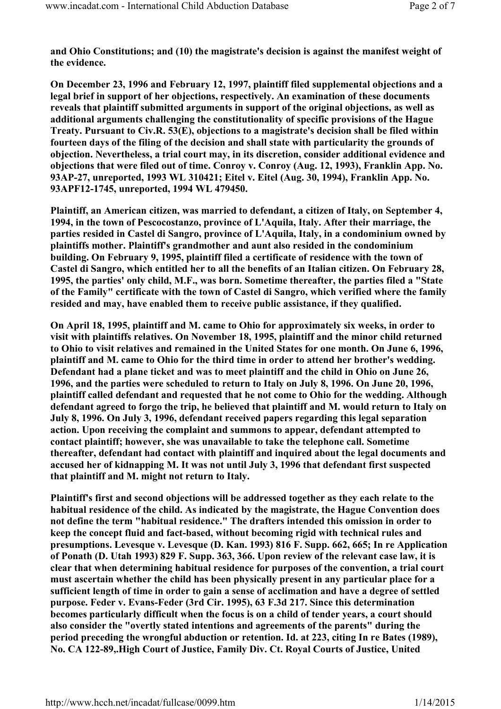and Ohio Constitutions; and (10) the magistrate's decision is against the manifest weight of the evidence.

On December 23, 1996 and February 12, 1997, plaintiff filed supplemental objections and a legal brief in support of her objections, respectively. An examination of these documents reveals that plaintiff submitted arguments in support of the original objections, as well as additional arguments challenging the constitutionality of specific provisions of the Hague Treaty. Pursuant to Civ.R. 53(E), objections to a magistrate's decision shall be filed within fourteen days of the filing of the decision and shall state with particularity the grounds of objection. Nevertheless, a trial court may, in its discretion, consider additional evidence and objections that were filed out of time. Conroy v. Conroy (Aug. 12, 1993), Franklin App. No. 93AP-27, unreported, 1993 WL 310421; Eitel v. Eitel (Aug. 30, 1994), Franklin App. No. 93APF12-1745, unreported, 1994 WL 479450.

Plaintiff, an American citizen, was married to defendant, a citizen of Italy, on September 4, 1994, in the town of Pescocostanzo, province of L'Aquila, Italy. After their marriage, the parties resided in Castel di Sangro, province of L'Aquila, Italy, in a condominium owned by plaintiffs mother. Plaintiff's grandmother and aunt also resided in the condominium building. On February 9, 1995, plaintiff filed a certificate of residence with the town of Castel di Sangro, which entitled her to all the benefits of an Italian citizen. On February 28, 1995, the parties' only child, M.F., was born. Sometime thereafter, the parties filed a "State of the Family" certificate with the town of Castel di Sangro, which verified where the family resided and may, have enabled them to receive public assistance, if they qualified.

On April 18, 1995, plaintiff and M. came to Ohio for approximately six weeks, in order to visit with plaintiffs relatives. On November 18, 1995, plaintiff and the minor child returned to Ohio to visit relatives and remained in the United States for one month. On June 6, 1996, plaintiff and M. came to Ohio for the third time in order to attend her brother's wedding. Defendant had a plane ticket and was to meet plaintiff and the child in Ohio on June 26, 1996, and the parties were scheduled to return to Italy on July 8, 1996. On June 20, 1996, plaintiff called defendant and requested that he not come to Ohio for the wedding. Although defendant agreed to forgo the trip, he believed that plaintiff and M. would return to Italy on July 8, 1996. On July 3, 1996, defendant received papers regarding this legal separation action. Upon receiving the complaint and summons to appear, defendant attempted to contact plaintiff; however, she was unavailable to take the telephone call. Sometime thereafter, defendant had contact with plaintiff and inquired about the legal documents and accused her of kidnapping M. It was not until July 3, 1996 that defendant first suspected that plaintiff and M. might not return to Italy.

Plaintiff's first and second objections will be addressed together as they each relate to the habitual residence of the child. As indicated by the magistrate, the Hague Convention does not define the term "habitual residence." The drafters intended this omission in order to keep the concept fluid and fact-based, without becoming rigid with technical rules and presumptions. Levesque v. Levesque (D. Kan. 1993) 816 F. Supp. 662, 665; In re Application of Ponath (D. Utah 1993) 829 F. Supp. 363, 366. Upon review of the relevant case law, it is clear that when determining habitual residence for purposes of the convention, a trial court must ascertain whether the child has been physically present in any particular place for a sufficient length of time in order to gain a sense of acclimation and have a degree of settled purpose. Feder v. Evans-Feder (3rd Cir. 1995), 63 F.3d 217. Since this determination becomes particularly difficult when the focus is on a child of tender years, a court should also consider the "overtly stated intentions and agreements of the parents" during the period preceding the wrongful abduction or retention. Id. at 223, citing In re Bates (1989), No. CA 122-89,.High Court of Justice, Family Div. Ct. Royal Courts of Justice, United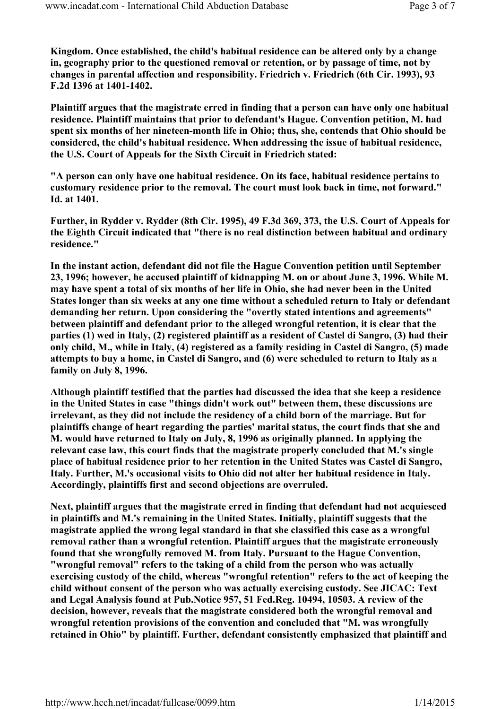Kingdom. Once established, the child's habitual residence can be altered only by a change in, geography prior to the questioned removal or retention, or by passage of time, not by changes in parental affection and responsibility. Friedrich v. Friedrich (6th Cir. 1993), 93 F.2d 1396 at 1401-1402.

Plaintiff argues that the magistrate erred in finding that a person can have only one habitual residence. Plaintiff maintains that prior to defendant's Hague. Convention petition, M. had spent six months of her nineteen-month life in Ohio; thus, she, contends that Ohio should be considered, the child's habitual residence. When addressing the issue of habitual residence, the U.S. Court of Appeals for the Sixth Circuit in Friedrich stated:

"A person can only have one habitual residence. On its face, habitual residence pertains to customary residence prior to the removal. The court must look back in time, not forward." Id. at 1401.

Further, in Rydder v. Rydder (8th Cir. 1995), 49 F.3d 369, 373, the U.S. Court of Appeals for the Eighth Circuit indicated that "there is no real distinction between habitual and ordinary residence."

In the instant action, defendant did not file the Hague Convention petition until September 23, 1996; however, he accused plaintiff of kidnapping M. on or about June 3, 1996. While M. may have spent a total of six months of her life in Ohio, she had never been in the United States longer than six weeks at any one time without a scheduled return to Italy or defendant demanding her return. Upon considering the "overtly stated intentions and agreements" between plaintiff and defendant prior to the alleged wrongful retention, it is clear that the parties (1) wed in Italy, (2) registered plaintiff as a resident of Castel di Sangro, (3) had their only child, M., while in Italy, (4) registered as a family residing in Castel di Sangro, (5) made attempts to buy a home, in Castel di Sangro, and (6) were scheduled to return to Italy as a family on July 8, 1996.

Although plaintiff testified that the parties had discussed the idea that she keep a residence in the United States in case "things didn't work out" between them, these discussions are irrelevant, as they did not include the residency of a child born of the marriage. But for plaintiffs change of heart regarding the parties' marital status, the court finds that she and M. would have returned to Italy on July, 8, 1996 as originally planned. In applying the relevant case law, this court finds that the magistrate properly concluded that M.'s single place of habitual residence prior to her retention in the United States was Castel di Sangro, Italy. Further, M.'s occasional visits to Ohio did not alter her habitual residence in Italy. Accordingly, plaintiffs first and second objections are overruled.

Next, plaintiff argues that the magistrate erred in finding that defendant had not acquiesced in plaintiffs and M.'s remaining in the United States. Initially, plaintiff suggests that the magistrate applied the wrong legal standard in that she classified this case as a wrongful removal rather than a wrongful retention. Plaintiff argues that the magistrate erroneously found that she wrongfully removed M. from Italy. Pursuant to the Hague Convention, "wrongful removal" refers to the taking of a child from the person who was actually exercising custody of the child, whereas "wrongful retention" refers to the act of keeping the child without consent of the person who was actually exercising custody. See JICAC: Text and Legal Analysis found at Pub.Notice 957, 51 Fed.Reg. 10494, 10503. A review of the decision, however, reveals that the magistrate considered both the wrongful removal and wrongful retention provisions of the convention and concluded that "M. was wrongfully retained in Ohio" by plaintiff. Further, defendant consistently emphasized that plaintiff and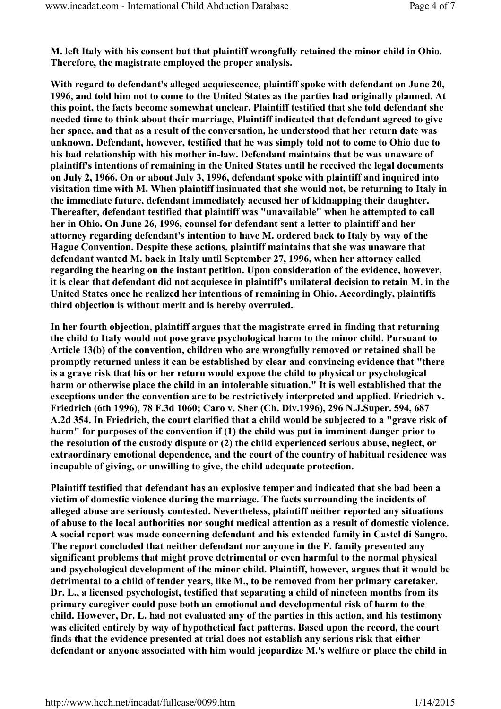M. left Italy with his consent but that plaintiff wrongfully retained the minor child in Ohio. Therefore, the magistrate employed the proper analysis.

With regard to defendant's alleged acquiescence, plaintiff spoke with defendant on June 20, 1996, and told him not to come to the United States as the parties had originally planned. At this point, the facts become somewhat unclear. Plaintiff testified that she told defendant she needed time to think about their marriage, Plaintiff indicated that defendant agreed to give her space, and that as a result of the conversation, he understood that her return date was unknown. Defendant, however, testified that he was simply told not to come to Ohio due to his bad relationship with his mother in-law. Defendant maintains that be was unaware of plaintiff's intentions of remaining in the United States until he received the legal documents on July 2, 1966. On or about July 3, 1996, defendant spoke with plaintiff and inquired into visitation time with M. When plaintiff insinuated that she would not, be returning to Italy in the immediate future, defendant immediately accused her of kidnapping their daughter. Thereafter, defendant testified that plaintiff was "unavailable" when he attempted to call her in Ohio. On June 26, 1996, counsel for defendant sent a letter to plaintiff and her attorney regarding defendant's intention to have M. ordered back to Italy by way of the Hague Convention. Despite these actions, plaintiff maintains that she was unaware that defendant wanted M. back in Italy until September 27, 1996, when her attorney called regarding the hearing on the instant petition. Upon consideration of the evidence, however, it is clear that defendant did not acquiesce in plaintiff's unilateral decision to retain M. in the United States once he realized her intentions of remaining in Ohio. Accordingly, plaintiffs third objection is without merit and is hereby overruled.

In her fourth objection, plaintiff argues that the magistrate erred in finding that returning the child to Italy would not pose grave psychological harm to the minor child. Pursuant to Article 13(b) of the convention, children who are wrongfully removed or retained shall be promptly returned unless it can be established by clear and convincing evidence that "there is a grave risk that his or her return would expose the child to physical or psychological harm or otherwise place the child in an intolerable situation." It is well established that the exceptions under the convention are to be restrictively interpreted and applied. Friedrich v. Friedrich (6th 1996), 78 F.3d 1060; Caro v. Sher (Ch. Div.1996), 296 N.J.Super. 594, 687 A.2d 354. In Friedrich, the court clarified that a child would be subjected to a "grave risk of harm" for purposes of the convention if (1) the child was put in imminent danger prior to the resolution of the custody dispute or (2) the child experienced serious abuse, neglect, or extraordinary emotional dependence, and the court of the country of habitual residence was incapable of giving, or unwilling to give, the child adequate protection.

Plaintiff testified that defendant has an explosive temper and indicated that she bad been a victim of domestic violence during the marriage. The facts surrounding the incidents of alleged abuse are seriously contested. Nevertheless, plaintiff neither reported any situations of abuse to the local authorities nor sought medical attention as a result of domestic violence. A social report was made concerning defendant and his extended family in Castel di Sangro. The report concluded that neither defendant nor anyone in the F. family presented any significant problems that might prove detrimental or even harmful to the normal physical and psychological development of the minor child. Plaintiff, however, argues that it would be detrimental to a child of tender years, like M., to be removed from her primary caretaker. Dr. L., a licensed psychologist, testified that separating a child of nineteen months from its primary caregiver could pose both an emotional and developmental risk of harm to the child. However, Dr. L. had not evaluated any of the parties in this action, and his testimony was elicited entirely by way of hypothetical fact patterns. Based upon the record, the court finds that the evidence presented at trial does not establish any serious risk that either defendant or anyone associated with him would jeopardize M.'s welfare or place the child in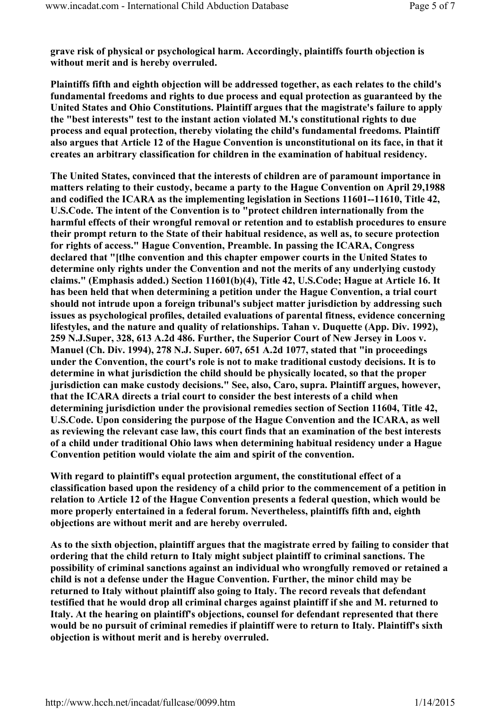grave risk of physical or psychological harm. Accordingly, plaintiffs fourth objection is without merit and is hereby overruled.

Plaintiffs fifth and eighth objection will be addressed together, as each relates to the child's fundamental freedoms and rights to due process and equal protection as guaranteed by the United States and Ohio Constitutions. Plaintiff argues that the magistrate's failure to apply the "best interests" test to the instant action violated M.'s constitutional rights to due process and equal protection, thereby violating the child's fundamental freedoms. Plaintiff also argues that Article 12 of the Hague Convention is unconstitutional on its face, in that it creates an arbitrary classification for children in the examination of habitual residency.

The United States, convinced that the interests of children are of paramount importance in matters relating to their custody, became a party to the Hague Convention on April 29,1988 and codified the ICARA as the implementing legislation in Sections 11601--11610, Title 42, U.S.Code. The intent of the Convention is to "protect children internationally from the harmful effects of their wrongful removal or retention and to establish procedures to ensure their prompt return to the State of their habitual residence, as well as, to secure protection for rights of access." Hague Convention, Preamble. In passing the ICARA, Congress declared that "[tlhe convention and this chapter empower courts in the United States to determine only rights under the Convention and not the merits of any underlying custody claims." (Emphasis added.) Section 11601(b)(4), Title 42, U.S.Code; Hague at Article 16. It has been held that when determining a petition under the Hague Convention, a trial court should not intrude upon a foreign tribunal's subject matter jurisdiction by addressing such issues as psychological profiles, detailed evaluations of parental fitness, evidence concerning lifestyles, and the nature and quality of relationships. Tahan v. Duquette (App. Div. 1992), 259 N.J.Super, 328, 613 A.2d 486. Further, the Superior Court of New Jersey in Loos v. Manuel (Ch. Div. 1994), 278 N.J. Super. 607, 651 A.2d 1077, stated that "in proceedings under the Convention, the court's role is not to make traditional custody decisions. It is to determine in what jurisdiction the child should be physically located, so that the proper jurisdiction can make custody decisions." See, also, Caro, supra. Plaintiff argues, however, that the ICARA directs a trial court to consider the best interests of a child when determining jurisdiction under the provisional remedies section of Section 11604, Title 42, U.S.Code. Upon considering the purpose of the Hague Convention and the ICARA, as well as reviewing the relevant case law, this court finds that an examination of the best interests of a child under traditional Ohio laws when determining habitual residency under a Hague Convention petition would violate the aim and spirit of the convention.

With regard to plaintiff's equal protection argument, the constitutional effect of a classification based upon the residency of a child prior to the commencement of a petition in relation to Article 12 of the Hague Convention presents a federal question, which would be more properly entertained in a federal forum. Nevertheless, plaintiffs fifth and, eighth objections are without merit and are hereby overruled.

As to the sixth objection, plaintiff argues that the magistrate erred by failing to consider that ordering that the child return to Italy might subject plaintiff to criminal sanctions. The possibility of criminal sanctions against an individual who wrongfully removed or retained a child is not a defense under the Hague Convention. Further, the minor child may be returned to Italy without plaintiff also going to Italy. The record reveals that defendant testified that he would drop all criminal charges against plaintiff if she and M. returned to Italy. At the hearing on plaintiff's objections, counsel for defendant represented that there would be no pursuit of criminal remedies if plaintiff were to return to Italy. Plaintiff's sixth objection is without merit and is hereby overruled.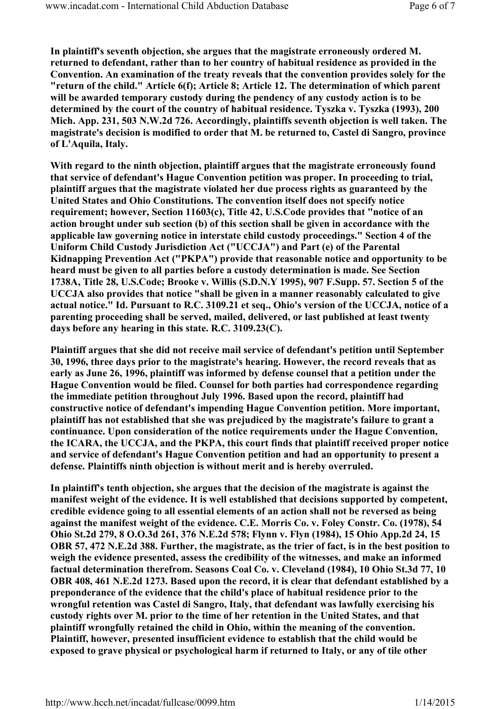In plaintiff's seventh objection, she argues that the magistrate erroneously ordered M. returned to defendant, rather than to her country of habitual residence as provided in the Convention. An examination of the treaty reveals that the convention provides solely for the "return of the child." Article 6(f); Article 8; Article 12. The determination of which parent will be awarded temporary custody during the pendency of any custody action is to be determined by the court of the country of habitual residence. Tyszka v. Tyszka (1993), 200 Mich. App. 231, 503 N.W.2d 726. Accordingly, plaintiffs seventh objection is well taken. The magistrate's decision is modified to order that M. be returned to, Castel di Sangro, province of L'Aquila, Italy.

With regard to the ninth objection, plaintiff argues that the magistrate erroneously found that service of defendant's Hague Convention petition was proper. In proceeding to trial, plaintiff argues that the magistrate violated her due process rights as guaranteed by the United States and Ohio Constitutions. The convention itself does not specify notice requirement; however, Section 11603(c), Title 42, U.S.Code provides that "notice of an action brought under sub section (b) of this section shall be given in accordance with the applicable law governing notice in interstate child custody proceedings." Section 4 of the Uniform Child Custody Jurisdiction Act ("UCCJA") and Part (e) of the Parental Kidnapping Prevention Act ("PKPA") provide that reasonable notice and opportunity to be heard must be given to all parties before a custody determination is made. See Section 1738A, Title 28, U.S.Code; Brooke v. Willis (S.D.N.Y 1995), 907 F.Supp. 57. Section 5 of the UCCJA also provides that notice "shall be given in a manner reasonably calculated to give actual notice." Id. Pursuant to R.C. 3109.21 et seq., Ohio's version of the UCCJA, notice of a parenting proceeding shall be served, mailed, delivered, or last published at least twenty days before any hearing in this state. R.C. 3109.23(C).

Plaintiff argues that she did not receive mail service of defendant's petition until September 30, 1996, three days prior to the magistrate's hearing. However, the record reveals that as early as June 26, 1996, plaintiff was informed by defense counsel that a petition under the Hague Convention would be filed. Counsel for both parties had correspondence regarding the immediate petition throughout July 1996. Based upon the record, plaintiff had constructive notice of defendant's impending Hague Convention petition. More important, plaintiff has not established that she was prejudiced by the magistrate's failure to grant a continuance. Upon consideration of the notice requirements under the Hague Convention, the ICARA, the UCCJA, and the PKPA, this court finds that plaintiff received proper notice and service of defendant's Hague Convention petition and had an opportunity to present a defense. Plaintiffs ninth objection is without merit and is hereby overruled.

In plaintiff's tenth objection, she argues that the decision of the magistrate is against the manifest weight of the evidence. It is well established that decisions supported by competent, credible evidence going to all essential elements of an action shall not be reversed as being against the manifest weight of the evidence. C.E. Morris Co. v. Foley Constr. Co. (1978), 54 Ohio St.2d 279, 8 O.O.3d 261, 376 N.E.2d 578; Flynn v. Flyn (1984), 15 Ohio App.2d 24, 15 OBR 57, 472 N.E.2d 388. Further, the magistrate, as the trier of fact, is in the best position to weigh the evidence presented, assess the credibility of the witnesses, and make an informed factual determination therefrom. Seasons Coal Co. v. Cleveland (1984), 10 Ohio St.3d 77, 10 OBR 408, 461 N.E.2d 1273. Based upon the record, it is clear that defendant established by a preponderance of the evidence that the child's place of habitual residence prior to the wrongful retention was Castel di Sangro, Italy, that defendant was lawfully exercising his custody rights over M. prior to the time of her retention in the United States, and that plaintiff wrongfully retained the child in Ohio, within the meaning of the convention. Plaintiff, however, presented insufficient evidence to establish that the child would be exposed to grave physical or psychological harm if returned to Italy, or any of tile other